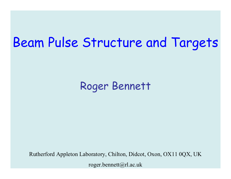## Beam Pulse Structure and Targets

### Roger Bennett

Rutherford Appleton Laboratory, Chilton, Didcot, Oxon, OX11 0QX, UK roger.bennett@rl.ac.uk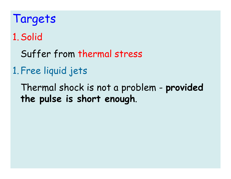Targets 1.Solid Suffer from thermal stress

### 1.Free liquid jets

Thermal shock is not a problem - **provided the pulse is short enough**.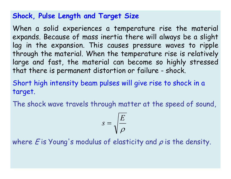#### **Shock, Pulse Length and Target Size**

When a solid experiences a temperature rise the material expands. Because of mass inertia there will always be a slight lag in the expansion. This causes pressure waves to ripple through the material. When the temperature rise is relatively large and fast, the material can become so highly stressed that there is permanent distortion or failure - shock.

Short high intensity beam pulses will give rise to shock in a target.

The shock wave travels through matter at the speed of sound,

$$
s = \sqrt{\frac{E}{\rho}}
$$

where  $\bm{\mathit{E}}$  is Young's modulus of elasticity and  $\bm{\rho}$  is the density.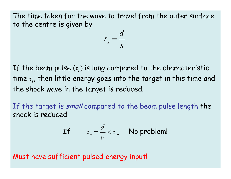The time taken for the wave to travel from the outer surface to the centre is given by

$$
\tau_s = \frac{d}{s}
$$

If the beam pulse  $(\tau_{p})$  is long compared to the characteristic time *<sup>τ</sup>s*, then little energy goes into the target in this time and the shock wave in the target is reduced.

If the target is small compared to the beam pulse length the shock is reduced.

If 
$$
\tau_s = \frac{d}{v} < \tau_p
$$
 No problem!

Must have sufficient pulsed energy input!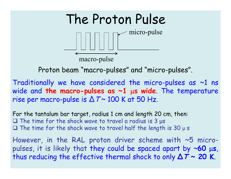

Proton beam "macro-pulses" and "micro-pulses".

Traditionally we have considered the micro-pulses as  $\sim$ 1 ns wide and **the macro-pulses as ~1**  <sup>µ</sup>**s wide**. The temperature rise per macro-pulse is  $\Delta\,\mathcal{T}$ ~ 100 K at 50 Hz.

For the tantalum bar target, radius 1 cm and length 20 cm, then:  $\square$  The time for the shock wave to travel a radius is 3  $\mu$ s  $\square$  The time for the shock wave to travel half the length is 30  $\upmu$  s

However, in the RAL proton driver scheme with ~5 micropulses, it is likely that they could be spaced apart by ~**60**  µ **s**, thus reducing the effective thermal shock to only **∆ T ~ 20 K**.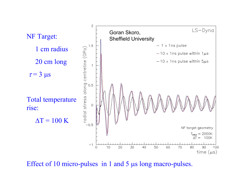

Effect of 10 micro-pulses in 1 and 5 µs long macro-pulses.